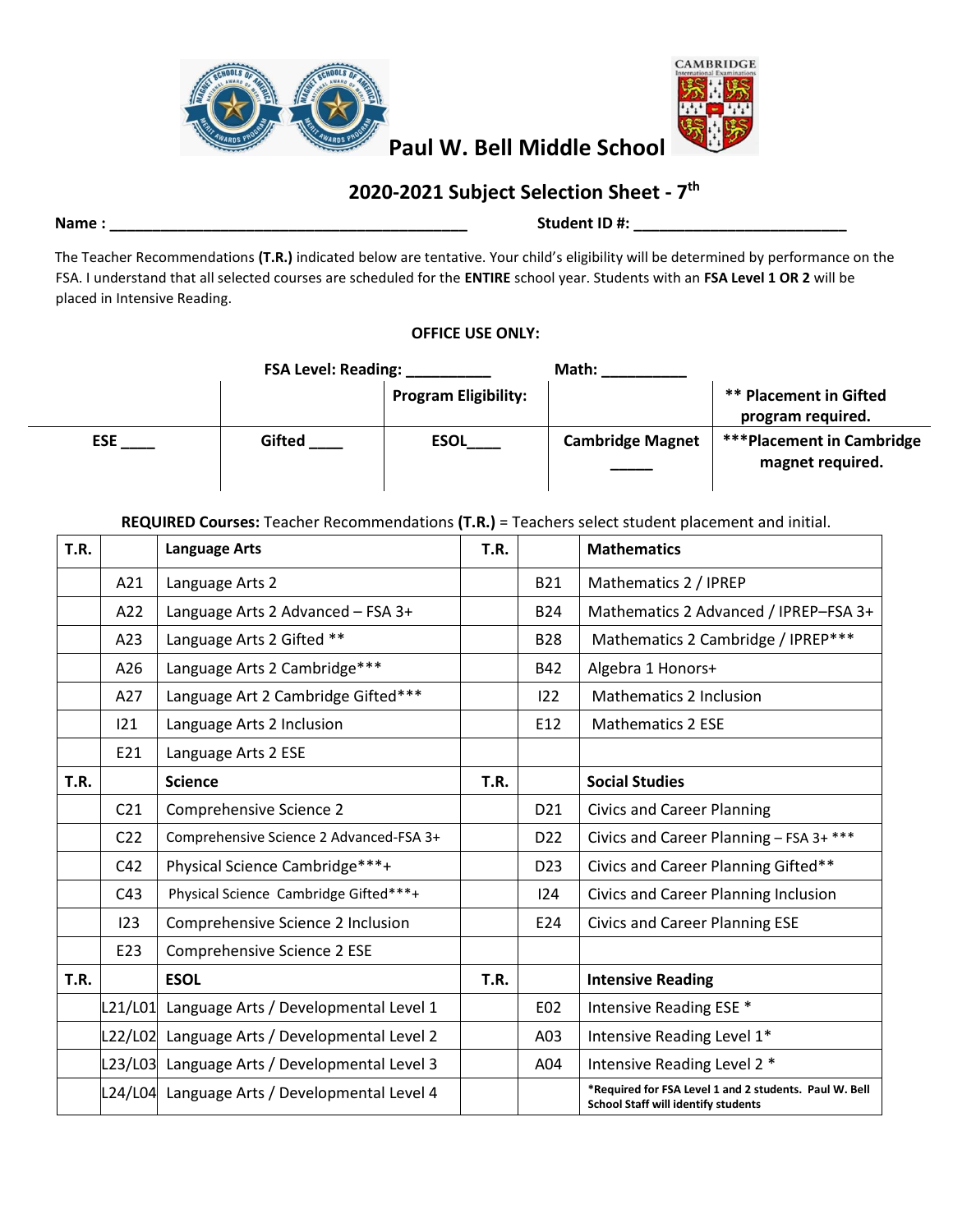



# **2020-2021 Subject Selection Sheet - 7 th**

### **Name : \_\_\_\_\_\_\_\_\_\_\_\_\_\_\_\_\_\_\_\_\_\_\_\_\_\_\_\_\_\_\_\_\_\_\_\_\_\_\_\_\_\_ Student ID #: \_\_\_\_\_\_\_\_\_\_\_\_\_\_\_\_\_\_\_\_\_\_\_\_\_**

The Teacher Recommendations **(T.R.)** indicated below are tentative. Your child's eligibility will be determined by performance on the FSA. I understand that all selected courses are scheduled for the **ENTIRE** school year. Students with an **FSA Level 1 OR 2** will be placed in Intensive Reading.

### **OFFICE USE ONLY:**

|            | <b>FSA Level: Reading:</b> |                             | Math:                   |                                                    |
|------------|----------------------------|-----------------------------|-------------------------|----------------------------------------------------|
|            |                            | <b>Program Eligibility:</b> |                         | <b>** Placement in Gifted</b><br>program required. |
| <b>ESE</b> | Gifted                     | <b>ESOL</b>                 | <b>Cambridge Magnet</b> | <b>***Placement in Cambridge</b>                   |
|            |                            |                             |                         | magnet required.                                   |

### **REQUIRED Courses:** Teacher Recommendations **(T.R.)** = Teachers select student placement and initial.

| <b>T.R.</b> |                 | <b>Language Arts</b>                          | T.R. |                 | <b>Mathematics</b>                                                                                   |
|-------------|-----------------|-----------------------------------------------|------|-----------------|------------------------------------------------------------------------------------------------------|
|             | A21             | Language Arts 2                               |      | <b>B21</b>      | Mathematics 2 / IPREP                                                                                |
|             | A22             | Language Arts 2 Advanced - FSA 3+             |      | <b>B24</b>      | Mathematics 2 Advanced / IPREP-FSA 3+                                                                |
|             | A23             | Language Arts 2 Gifted **                     |      | <b>B28</b>      | Mathematics 2 Cambridge / IPREP***                                                                   |
|             | A26             | Language Arts 2 Cambridge***                  |      | B42             | Algebra 1 Honors+                                                                                    |
|             | A27             | Language Art 2 Cambridge Gifted***            |      | 122             | Mathematics 2 Inclusion                                                                              |
|             | 121             | Language Arts 2 Inclusion                     |      | E12             | <b>Mathematics 2 ESE</b>                                                                             |
|             | E21             | Language Arts 2 ESE                           |      |                 |                                                                                                      |
| T.R.        |                 | <b>Science</b>                                | T.R. |                 | <b>Social Studies</b>                                                                                |
|             | C <sub>21</sub> | Comprehensive Science 2                       |      | D21             | <b>Civics and Career Planning</b>                                                                    |
|             | C <sub>22</sub> | Comprehensive Science 2 Advanced-FSA 3+       |      | D <sub>22</sub> | Civics and Career Planning - FSA 3+ ***                                                              |
|             | C42             | Physical Science Cambridge***+                |      | D <sub>23</sub> | Civics and Career Planning Gifted**                                                                  |
|             | C43             | Physical Science Cambridge Gifted***+         |      | 124             | Civics and Career Planning Inclusion                                                                 |
|             | 123             | Comprehensive Science 2 Inclusion             |      | E24             | <b>Civics and Career Planning ESE</b>                                                                |
|             | E23             | Comprehensive Science 2 ESE                   |      |                 |                                                                                                      |
| T.R.        |                 | <b>ESOL</b>                                   | T.R. |                 | <b>Intensive Reading</b>                                                                             |
|             |                 | L21/L01 Language Arts / Developmental Level 1 |      | E02             | Intensive Reading ESE *                                                                              |
|             |                 | L22/L02 Language Arts / Developmental Level 2 |      | A03             | Intensive Reading Level 1*                                                                           |
|             |                 | L23/L03 Language Arts / Developmental Level 3 |      | A04             | Intensive Reading Level 2 *                                                                          |
|             |                 | L24/L04 Language Arts / Developmental Level 4 |      |                 | *Required for FSA Level 1 and 2 students. Paul W. Bell<br><b>School Staff will identify students</b> |